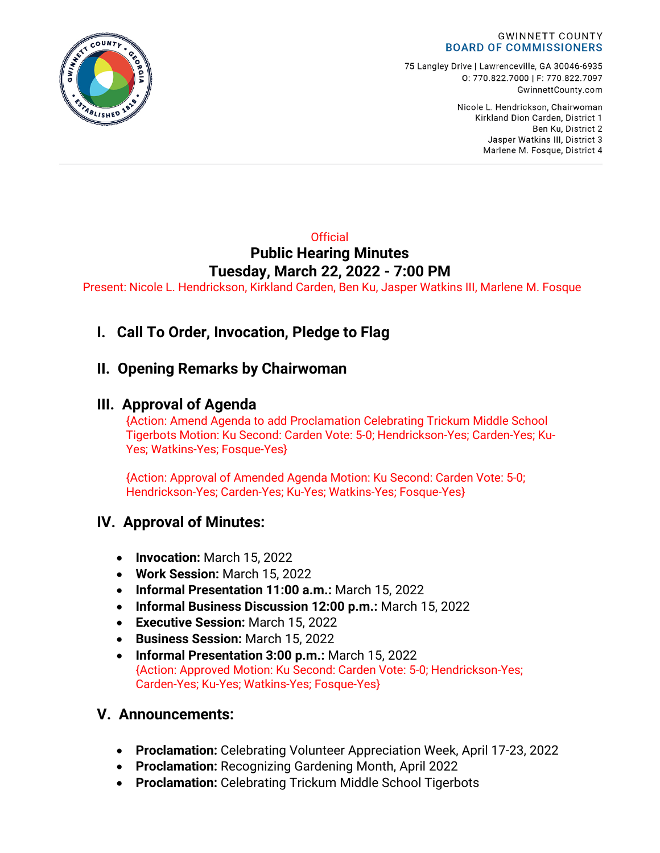

75 Langley Drive | Lawrenceville, GA 30046-6935 0:770.822.7000 | F: 770.822.7097 GwinnettCounty.com

> Nicole L. Hendrickson, Chairwoman Kirkland Dion Carden, District 1 Ben Ku. District 2 Jasper Watkins III, District 3 Marlene M. Fosque, District 4

## **Official Public Hearing Minutes Tuesday, March 22, 2022 - 7:00 PM**

Present: Nicole L. Hendrickson, Kirkland Carden, Ben Ku, Jasper Watkins III, Marlene M. Fosque

# **I. Call To Order, Invocation, Pledge to Flag**

## **II. Opening Remarks by Chairwoman**

## **III. Approval of Agenda**

{Action: Amend Agenda to add Proclamation Celebrating Trickum Middle School Tigerbots Motion: Ku Second: Carden Vote: 5-0; Hendrickson-Yes; Carden-Yes; Ku-Yes; Watkins-Yes; Fosque-Yes}

{Action: Approval of Amended Agenda Motion: Ku Second: Carden Vote: 5-0; Hendrickson-Yes; Carden-Yes; Ku-Yes; Watkins-Yes; Fosque-Yes}

## **IV. Approval of Minutes:**

- **Invocation:** March 15, 2022
- **Work Session:** March 15, 2022
- **Informal Presentation 11:00 a.m.:** March 15, 2022
- **Informal Business Discussion 12:00 p.m.:** March 15, 2022
- **Executive Session:** March 15, 2022
- **Business Session:** March 15, 2022
- **Informal Presentation 3:00 p.m.:** March 15, 2022 {Action: Approved Motion: Ku Second: Carden Vote: 5-0; Hendrickson-Yes; Carden-Yes; Ku-Yes; Watkins-Yes; Fosque-Yes}

### **V. Announcements:**

- **Proclamation:** Celebrating Volunteer Appreciation Week, April 17-23, 2022
- **Proclamation:** Recognizing Gardening Month, April 2022
- **Proclamation:** Celebrating Trickum Middle School Tigerbots

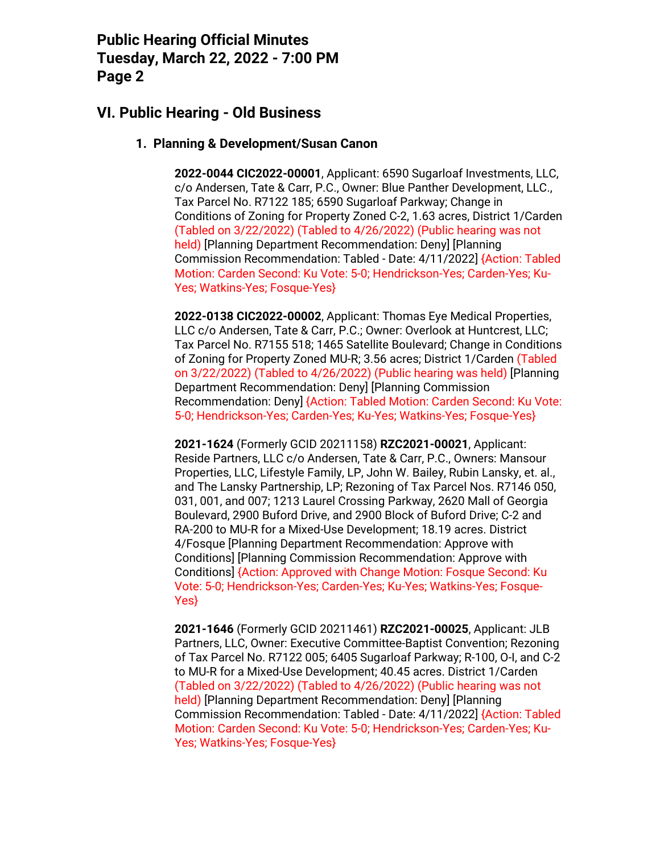## **VI. Public Hearing - Old Business**

#### **1. Planning & Development/Susan Canon**

**2022-0044 CIC2022-00001**, Applicant: 6590 Sugarloaf Investments, LLC, c/o Andersen, Tate & Carr, P.C., Owner: Blue Panther Development, LLC., Tax Parcel No. R7122 185; 6590 Sugarloaf Parkway; Change in Conditions of Zoning for Property Zoned C-2, 1.63 acres, District 1/Carden (Tabled on 3/22/2022) (Tabled to 4/26/2022) (Public hearing was not held) [Planning Department Recommendation: Deny] [Planning Commission Recommendation: Tabled - Date: 4/11/2022] {Action: Tabled Motion: Carden Second: Ku Vote: 5-0; Hendrickson-Yes; Carden-Yes; Ku-Yes; Watkins-Yes; Fosque-Yes}

**2022-0138 CIC2022-00002**, Applicant: Thomas Eye Medical Properties, LLC c/o Andersen, Tate & Carr, P.C.; Owner: Overlook at Huntcrest, LLC; Tax Parcel No. R7155 518; 1465 Satellite Boulevard; Change in Conditions of Zoning for Property Zoned MU-R; 3.56 acres; District 1/Carden (Tabled on 3/22/2022) (Tabled to 4/26/2022) (Public hearing was held) [Planning Department Recommendation: Deny] [Planning Commission Recommendation: Deny] {Action: Tabled Motion: Carden Second: Ku Vote: 5-0; Hendrickson-Yes; Carden-Yes; Ku-Yes; Watkins-Yes; Fosque-Yes}

**2021-1624** (Formerly GCID 20211158) **RZC2021-00021**, Applicant: Reside Partners, LLC c/o Andersen, Tate & Carr, P.C., Owners: Mansour Properties, LLC, Lifestyle Family, LP, John W. Bailey, Rubin Lansky, et. al., and The Lansky Partnership, LP; Rezoning of Tax Parcel Nos. R7146 050, 031, 001, and 007; 1213 Laurel Crossing Parkway, 2620 Mall of Georgia Boulevard, 2900 Buford Drive, and 2900 Block of Buford Drive; C-2 and RA-200 to MU-R for a Mixed-Use Development; 18.19 acres. District 4/Fosque [Planning Department Recommendation: Approve with Conditions] [Planning Commission Recommendation: Approve with Conditions] {Action: Approved with Change Motion: Fosque Second: Ku Vote: 5-0; Hendrickson-Yes; Carden-Yes; Ku-Yes; Watkins-Yes; Fosque-Yes}

**2021-1646** (Formerly GCID 20211461) **RZC2021-00025**, Applicant: JLB Partners, LLC, Owner: Executive Committee-Baptist Convention; Rezoning of Tax Parcel No. R7122 005; 6405 Sugarloaf Parkway; R-100, O-I, and C-2 to MU-R for a Mixed-Use Development; 40.45 acres. District 1/Carden (Tabled on 3/22/2022) (Tabled to 4/26/2022) (Public hearing was not held) [Planning Department Recommendation: Deny] [Planning Commission Recommendation: Tabled - Date: 4/11/2022] {Action: Tabled Motion: Carden Second: Ku Vote: 5-0; Hendrickson-Yes; Carden-Yes; Ku-Yes; Watkins-Yes; Fosque-Yes}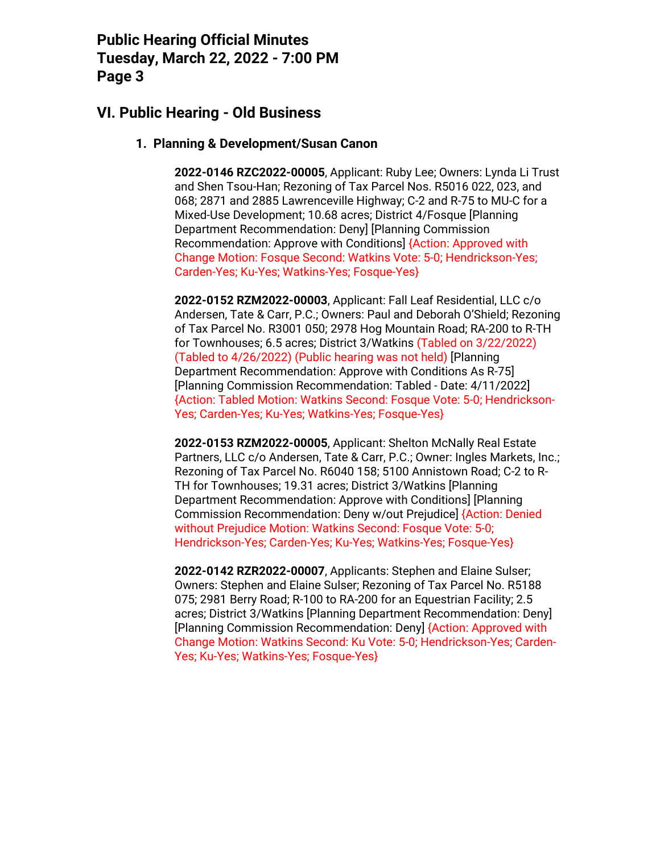## **VI. Public Hearing - Old Business**

#### **1. Planning & Development/Susan Canon**

**2022-0146 RZC2022-00005**, Applicant: Ruby Lee; Owners: Lynda Li Trust and Shen Tsou-Han; Rezoning of Tax Parcel Nos. R5016 022, 023, and 068; 2871 and 2885 Lawrenceville Highway; C-2 and R-75 to MU-C for a Mixed-Use Development; 10.68 acres; District 4/Fosque [Planning Department Recommendation: Deny] [Planning Commission Recommendation: Approve with Conditions] {Action: Approved with Change Motion: Fosque Second: Watkins Vote: 5-0; Hendrickson-Yes; Carden-Yes; Ku-Yes; Watkins-Yes; Fosque-Yes}

**2022-0152 RZM2022-00003**, Applicant: Fall Leaf Residential, LLC c/o Andersen, Tate & Carr, P.C.; Owners: Paul and Deborah O'Shield; Rezoning of Tax Parcel No. R3001 050; 2978 Hog Mountain Road; RA-200 to R-TH for Townhouses; 6.5 acres; District 3/Watkins (Tabled on 3/22/2022) (Tabled to 4/26/2022) (Public hearing was not held) [Planning Department Recommendation: Approve with Conditions As R-75] [Planning Commission Recommendation: Tabled - Date: 4/11/2022] {Action: Tabled Motion: Watkins Second: Fosque Vote: 5-0; Hendrickson-Yes; Carden-Yes; Ku-Yes; Watkins-Yes; Fosque-Yes}

**2022-0153 RZM2022-00005**, Applicant: Shelton McNally Real Estate Partners, LLC c/o Andersen, Tate & Carr, P.C.; Owner: Ingles Markets, Inc.; Rezoning of Tax Parcel No. R6040 158; 5100 Annistown Road; C-2 to R-TH for Townhouses; 19.31 acres; District 3/Watkins [Planning Department Recommendation: Approve with Conditions] [Planning Commission Recommendation: Deny w/out Prejudice] {Action: Denied without Prejudice Motion: Watkins Second: Fosque Vote: 5-0; Hendrickson-Yes; Carden-Yes; Ku-Yes; Watkins-Yes; Fosque-Yes}

**2022-0142 RZR2022-00007**, Applicants: Stephen and Elaine Sulser; Owners: Stephen and Elaine Sulser; Rezoning of Tax Parcel No. R5188 075; 2981 Berry Road; R-100 to RA-200 for an Equestrian Facility; 2.5 acres; District 3/Watkins [Planning Department Recommendation: Deny] [Planning Commission Recommendation: Deny] {Action: Approved with Change Motion: Watkins Second: Ku Vote: 5-0; Hendrickson-Yes; Carden-Yes; Ku-Yes; Watkins-Yes; Fosque-Yes}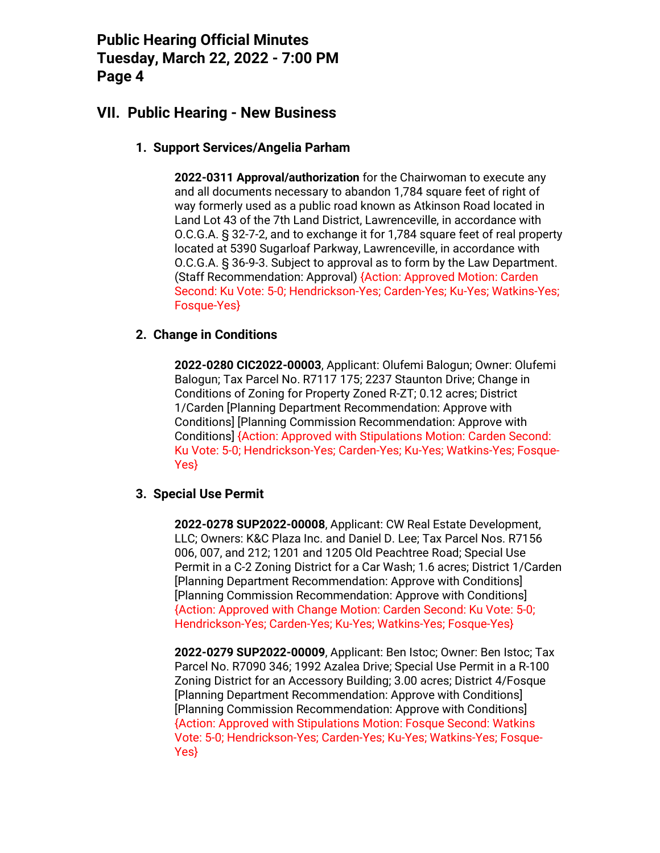## **VII. Public Hearing - New Business**

#### **1. Support Services/Angelia Parham**

**2022-0311 Approval/authorization** for the Chairwoman to execute any and all documents necessary to abandon 1,784 square feet of right of way formerly used as a public road known as Atkinson Road located in Land Lot 43 of the 7th Land District, Lawrenceville, in accordance with O.C.G.A. § 32-7-2, and to exchange it for 1,784 square feet of real property located at 5390 Sugarloaf Parkway, Lawrenceville, in accordance with O.C.G.A. § 36-9-3. Subject to approval as to form by the Law Department. (Staff Recommendation: Approval) {Action: Approved Motion: Carden Second: Ku Vote: 5-0; Hendrickson-Yes; Carden-Yes; Ku-Yes; Watkins-Yes; Fosque-Yes}

#### **2. Change in Conditions**

**2022-0280 CIC2022-00003**, Applicant: Olufemi Balogun; Owner: Olufemi Balogun; Tax Parcel No. R7117 175; 2237 Staunton Drive; Change in Conditions of Zoning for Property Zoned R-ZT; 0.12 acres; District 1/Carden [Planning Department Recommendation: Approve with Conditions] [Planning Commission Recommendation: Approve with Conditions] {Action: Approved with Stipulations Motion: Carden Second: Ku Vote: 5-0; Hendrickson-Yes; Carden-Yes; Ku-Yes; Watkins-Yes; Fosque-Yes}

#### **3. Special Use Permit**

**2022-0278 SUP2022-00008**, Applicant: CW Real Estate Development, LLC; Owners: K&C Plaza Inc. and Daniel D. Lee; Tax Parcel Nos. R7156 006, 007, and 212; 1201 and 1205 Old Peachtree Road; Special Use Permit in a C-2 Zoning District for a Car Wash; 1.6 acres; District 1/Carden [Planning Department Recommendation: Approve with Conditions] [Planning Commission Recommendation: Approve with Conditions] {Action: Approved with Change Motion: Carden Second: Ku Vote: 5-0; Hendrickson-Yes; Carden-Yes; Ku-Yes; Watkins-Yes; Fosque-Yes}

**2022-0279 SUP2022-00009**, Applicant: Ben Istoc; Owner: Ben Istoc; Tax Parcel No. R7090 346; 1992 Azalea Drive; Special Use Permit in a R-100 Zoning District for an Accessory Building; 3.00 acres; District 4/Fosque [Planning Department Recommendation: Approve with Conditions] [Planning Commission Recommendation: Approve with Conditions] {Action: Approved with Stipulations Motion: Fosque Second: Watkins Vote: 5-0; Hendrickson-Yes; Carden-Yes; Ku-Yes; Watkins-Yes; Fosque-Yes}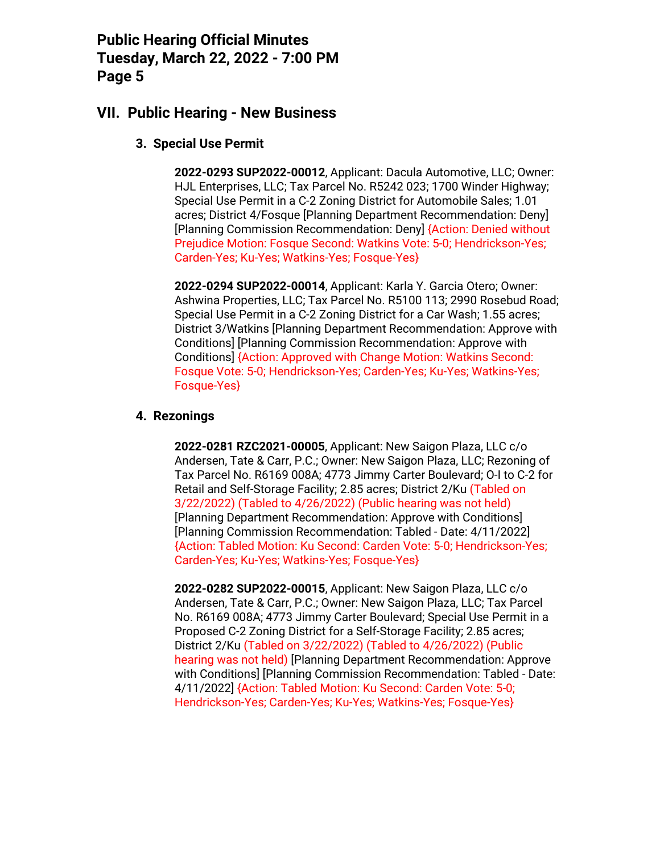## **VII. Public Hearing - New Business**

#### **3. Special Use Permit**

**2022-0293 SUP2022-00012**, Applicant: Dacula Automotive, LLC; Owner: HJL Enterprises, LLC; Tax Parcel No. R5242 023; 1700 Winder Highway; Special Use Permit in a C-2 Zoning District for Automobile Sales; 1.01 acres; District 4/Fosque [Planning Department Recommendation: Deny] [Planning Commission Recommendation: Deny] {Action: Denied without Prejudice Motion: Fosque Second: Watkins Vote: 5-0; Hendrickson-Yes; Carden-Yes; Ku-Yes; Watkins-Yes; Fosque-Yes}

**2022-0294 SUP2022-00014**, Applicant: Karla Y. Garcia Otero; Owner: Ashwina Properties, LLC; Tax Parcel No. R5100 113; 2990 Rosebud Road; Special Use Permit in a C-2 Zoning District for a Car Wash; 1.55 acres; District 3/Watkins [Planning Department Recommendation: Approve with Conditions] [Planning Commission Recommendation: Approve with Conditions] {Action: Approved with Change Motion: Watkins Second: Fosque Vote: 5-0; Hendrickson-Yes; Carden-Yes; Ku-Yes; Watkins-Yes; Fosque-Yes}

#### **4. Rezonings**

**2022-0281 RZC2021-00005**, Applicant: New Saigon Plaza, LLC c/o Andersen, Tate & Carr, P.C.; Owner: New Saigon Plaza, LLC; Rezoning of Tax Parcel No. R6169 008A; 4773 Jimmy Carter Boulevard; O-I to C-2 for Retail and Self-Storage Facility; 2.85 acres; District 2/Ku (Tabled on 3/22/2022) (Tabled to 4/26/2022) (Public hearing was not held) [Planning Department Recommendation: Approve with Conditions] [Planning Commission Recommendation: Tabled - Date: 4/11/2022] {Action: Tabled Motion: Ku Second: Carden Vote: 5-0; Hendrickson-Yes; Carden-Yes; Ku-Yes; Watkins-Yes; Fosque-Yes}

**2022-0282 SUP2022-00015**, Applicant: New Saigon Plaza, LLC c/o Andersen, Tate & Carr, P.C.; Owner: New Saigon Plaza, LLC; Tax Parcel No. R6169 008A; 4773 Jimmy Carter Boulevard; Special Use Permit in a Proposed C-2 Zoning District for a Self-Storage Facility; 2.85 acres; District 2/Ku (Tabled on 3/22/2022) (Tabled to 4/26/2022) (Public hearing was not held) [Planning Department Recommendation: Approve with Conditions] [Planning Commission Recommendation: Tabled - Date: 4/11/2022] {Action: Tabled Motion: Ku Second: Carden Vote: 5-0; Hendrickson-Yes; Carden-Yes; Ku-Yes; Watkins-Yes; Fosque-Yes}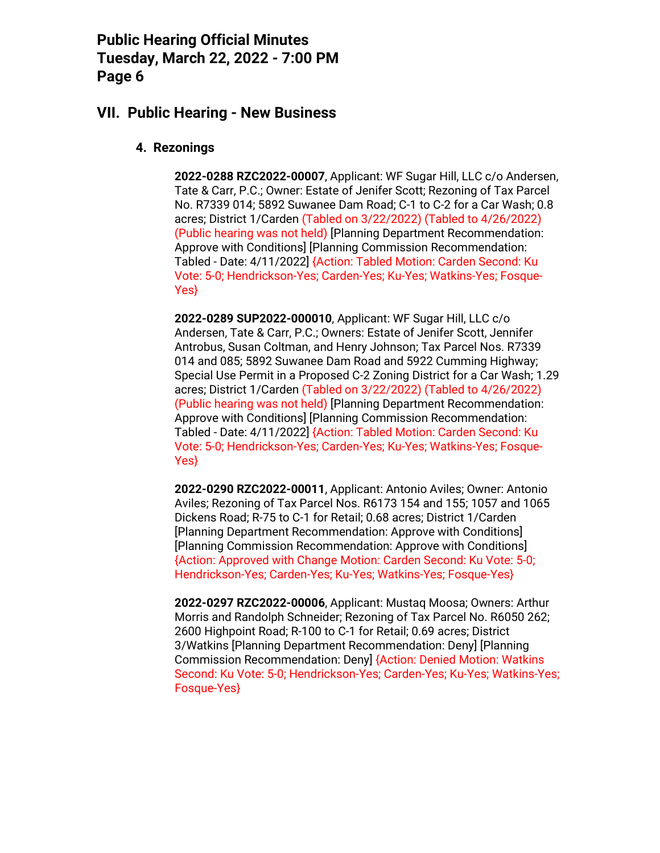### **VII. Public Hearing - New Business**

#### **4. Rezonings**

**2022-0288 RZC2022-00007**, Applicant: WF Sugar Hill, LLC c/o Andersen, Tate & Carr, P.C.; Owner: Estate of Jenifer Scott; Rezoning of Tax Parcel No. R7339 014; 5892 Suwanee Dam Road; C-1 to C-2 for a Car Wash; 0.8 acres; District 1/Carden (Tabled on 3/22/2022) (Tabled to 4/26/2022) (Public hearing was not held) [Planning Department Recommendation: Approve with Conditions] [Planning Commission Recommendation: Tabled - Date: 4/11/2022] {Action: Tabled Motion: Carden Second: Ku Vote: 5-0; Hendrickson-Yes; Carden-Yes; Ku-Yes; Watkins-Yes; Fosque-Yes}

**2022-0289 SUP2022-000010**, Applicant: WF Sugar Hill, LLC c/o Andersen, Tate & Carr, P.C.; Owners: Estate of Jenifer Scott, Jennifer Antrobus, Susan Coltman, and Henry Johnson; Tax Parcel Nos. R7339 014 and 085; 5892 Suwanee Dam Road and 5922 Cumming Highway; Special Use Permit in a Proposed C-2 Zoning District for a Car Wash; 1.29 acres; District 1/Carden (Tabled on 3/22/2022) (Tabled to 4/26/2022) (Public hearing was not held) [Planning Department Recommendation: Approve with Conditions] [Planning Commission Recommendation: Tabled - Date: 4/11/2022] {Action: Tabled Motion: Carden Second: Ku Vote: 5-0; Hendrickson-Yes; Carden-Yes; Ku-Yes; Watkins-Yes; Fosque-Yes}

**2022-0290 RZC2022-00011**, Applicant: Antonio Aviles; Owner: Antonio Aviles; Rezoning of Tax Parcel Nos. R6173 154 and 155; 1057 and 1065 Dickens Road; R-75 to C-1 for Retail; 0.68 acres; District 1/Carden [Planning Department Recommendation: Approve with Conditions] [Planning Commission Recommendation: Approve with Conditions] {Action: Approved with Change Motion: Carden Second: Ku Vote: 5-0; Hendrickson-Yes; Carden-Yes; Ku-Yes; Watkins-Yes; Fosque-Yes}

**2022-0297 RZC2022-00006**, Applicant: Mustaq Moosa; Owners: Arthur Morris and Randolph Schneider; Rezoning of Tax Parcel No. R6050 262; 2600 Highpoint Road; R-100 to C-1 for Retail; 0.69 acres; District 3/Watkins [Planning Department Recommendation: Deny] [Planning Commission Recommendation: Deny] {Action: Denied Motion: Watkins Second: Ku Vote: 5-0; Hendrickson-Yes; Carden-Yes; Ku-Yes; Watkins-Yes; Fosque-Yes}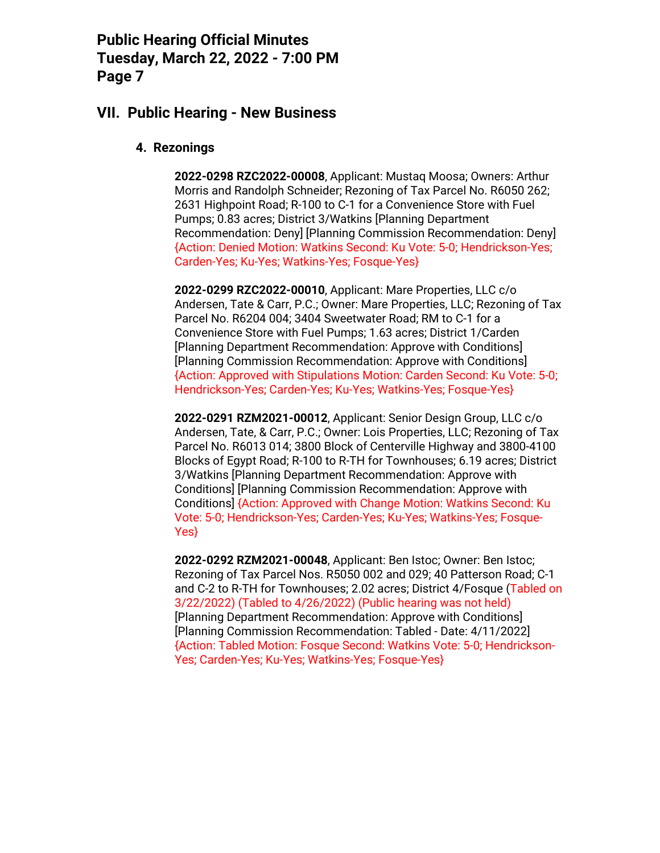### **VII. Public Hearing - New Business**

#### **4. Rezonings**

**2022-0298 RZC2022-00008**, Applicant: Mustaq Moosa; Owners: Arthur Morris and Randolph Schneider; Rezoning of Tax Parcel No. R6050 262; 2631 Highpoint Road; R-100 to C-1 for a Convenience Store with Fuel Pumps; 0.83 acres; District 3/Watkins [Planning Department Recommendation: Deny] [Planning Commission Recommendation: Deny] {Action: Denied Motion: Watkins Second: Ku Vote: 5-0; Hendrickson-Yes; Carden-Yes; Ku-Yes; Watkins-Yes; Fosque-Yes}

**2022-0299 RZC2022-00010**, Applicant: Mare Properties, LLC c/o Andersen, Tate & Carr, P.C.; Owner: Mare Properties, LLC; Rezoning of Tax Parcel No. R6204 004; 3404 Sweetwater Road; RM to C-1 for a Convenience Store with Fuel Pumps; 1.63 acres; District 1/Carden [Planning Department Recommendation: Approve with Conditions] [Planning Commission Recommendation: Approve with Conditions] {Action: Approved with Stipulations Motion: Carden Second: Ku Vote: 5-0; Hendrickson-Yes; Carden-Yes; Ku-Yes; Watkins-Yes; Fosque-Yes}

**2022-0291 RZM2021-00012**, Applicant: Senior Design Group, LLC c/o Andersen, Tate, & Carr, P.C.; Owner: Lois Properties, LLC; Rezoning of Tax Parcel No. R6013 014; 3800 Block of Centerville Highway and 3800-4100 Blocks of Egypt Road; R-100 to R-TH for Townhouses; 6.19 acres; District 3/Watkins [Planning Department Recommendation: Approve with Conditions] [Planning Commission Recommendation: Approve with Conditions] {Action: Approved with Change Motion: Watkins Second: Ku Vote: 5-0; Hendrickson-Yes; Carden-Yes; Ku-Yes; Watkins-Yes; Fosque-Yes}

**2022-0292 RZM2021-00048**, Applicant: Ben Istoc; Owner: Ben Istoc; Rezoning of Tax Parcel Nos. R5050 002 and 029; 40 Patterson Road; C-1 and C-2 to R-TH for Townhouses; 2.02 acres; District 4/Fosque (Tabled on 3/22/2022) (Tabled to 4/26/2022) (Public hearing was not held) [Planning Department Recommendation: Approve with Conditions] [Planning Commission Recommendation: Tabled - Date: 4/11/2022] {Action: Tabled Motion: Fosque Second: Watkins Vote: 5-0; Hendrickson-Yes; Carden-Yes; Ku-Yes; Watkins-Yes; Fosque-Yes}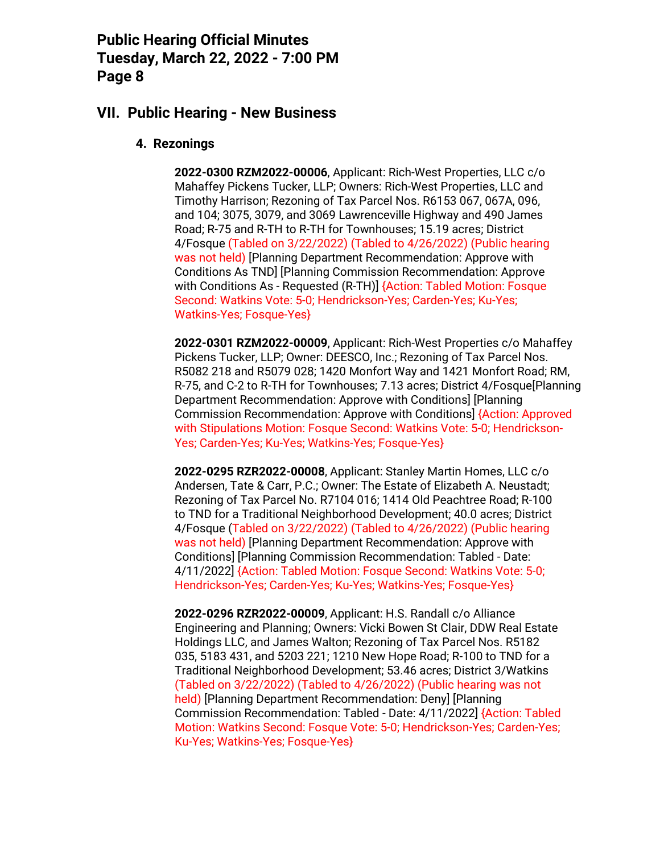### **VII. Public Hearing - New Business**

#### **4. Rezonings**

**2022-0300 RZM2022-00006**, Applicant: Rich-West Properties, LLC c/o Mahaffey Pickens Tucker, LLP; Owners: Rich-West Properties, LLC and Timothy Harrison; Rezoning of Tax Parcel Nos. R6153 067, 067A, 096, and 104; 3075, 3079, and 3069 Lawrenceville Highway and 490 James Road; R-75 and R-TH to R-TH for Townhouses; 15.19 acres; District 4/Fosque (Tabled on 3/22/2022) (Tabled to 4/26/2022) (Public hearing was not held) [Planning Department Recommendation: Approve with Conditions As TND] [Planning Commission Recommendation: Approve with Conditions As - Requested (R-TH)] {Action: Tabled Motion: Fosque Second: Watkins Vote: 5-0; Hendrickson-Yes; Carden-Yes; Ku-Yes; Watkins-Yes; Fosque-Yes}

**2022-0301 RZM2022-00009**, Applicant: Rich-West Properties c/o Mahaffey Pickens Tucker, LLP; Owner: DEESCO, Inc.; Rezoning of Tax Parcel Nos. R5082 218 and R5079 028; 1420 Monfort Way and 1421 Monfort Road; RM, R-75, and C-2 to R-TH for Townhouses; 7.13 acres; District 4/Fosque[Planning Department Recommendation: Approve with Conditions] [Planning Commission Recommendation: Approve with Conditions] {Action: Approved with Stipulations Motion: Fosque Second: Watkins Vote: 5-0; Hendrickson-Yes; Carden-Yes; Ku-Yes; Watkins-Yes; Fosque-Yes}

**2022-0295 RZR2022-00008**, Applicant: Stanley Martin Homes, LLC c/o Andersen, Tate & Carr, P.C.; Owner: The Estate of Elizabeth A. Neustadt; Rezoning of Tax Parcel No. R7104 016; 1414 Old Peachtree Road; R-100 to TND for a Traditional Neighborhood Development; 40.0 acres; District 4/Fosque (Tabled on 3/22/2022) (Tabled to 4/26/2022) (Public hearing was not held) [Planning Department Recommendation: Approve with Conditions] [Planning Commission Recommendation: Tabled - Date: 4/11/2022] {Action: Tabled Motion: Fosque Second: Watkins Vote: 5-0; Hendrickson-Yes; Carden-Yes; Ku-Yes; Watkins-Yes; Fosque-Yes}

**2022-0296 RZR2022-00009**, Applicant: H.S. Randall c/o Alliance Engineering and Planning; Owners: Vicki Bowen St Clair, DDW Real Estate Holdings LLC, and James Walton; Rezoning of Tax Parcel Nos. R5182 035, 5183 431, and 5203 221; 1210 New Hope Road; R-100 to TND for a Traditional Neighborhood Development; 53.46 acres; District 3/Watkins (Tabled on 3/22/2022) (Tabled to 4/26/2022) (Public hearing was not held) [Planning Department Recommendation: Deny] [Planning Commission Recommendation: Tabled - Date: 4/11/2022] {Action: Tabled Motion: Watkins Second: Fosque Vote: 5-0; Hendrickson-Yes; Carden-Yes; Ku-Yes; Watkins-Yes; Fosque-Yes}